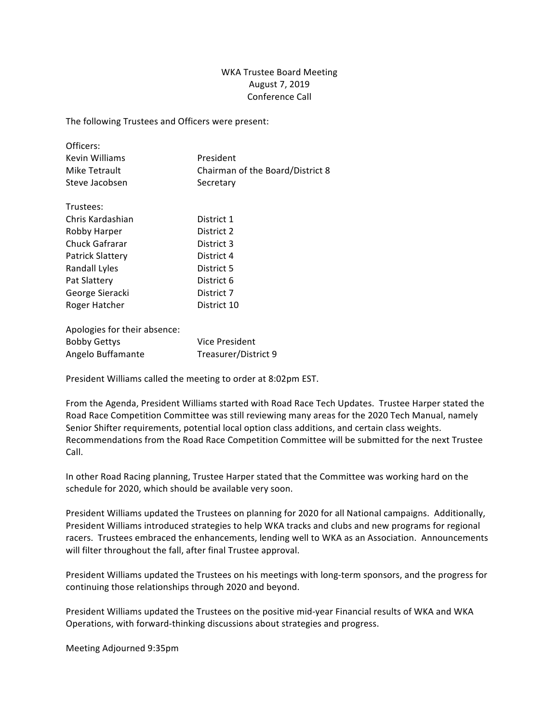## WKA Trustee Board Meeting August 7, 2019 Conference Call

The following Trustees and Officers were present:

| Officers:                    |                                  |
|------------------------------|----------------------------------|
| Kevin Williams               | President                        |
| Mike Tetrault                | Chairman of the Board/District 8 |
| Steve Jacobsen               | Secretary                        |
| Trustees:                    |                                  |
| Chris Kardashian             | District 1                       |
| Robby Harper                 | District 2                       |
| Chuck Gafrarar               | District 3                       |
| <b>Patrick Slattery</b>      | District 4                       |
| Randall Lyles                | District 5                       |
| Pat Slattery                 | District 6                       |
| George Sieracki              | District 7                       |
| Roger Hatcher                | District 10                      |
| Anologies for their absence: |                                  |

| ADOIOSICS TOT CHEH GOSCHICC. |                      |
|------------------------------|----------------------|
| <b>Bobby Gettys</b>          | Vice President       |
| Angelo Buffamante            | Treasurer/District 9 |

President Williams called the meeting to order at 8:02pm EST.

From the Agenda, President Williams started with Road Race Tech Updates. Trustee Harper stated the Road Race Competition Committee was still reviewing many areas for the 2020 Tech Manual, namely Senior Shifter requirements, potential local option class additions, and certain class weights. Recommendations from the Road Race Competition Committee will be submitted for the next Trustee Call.

In other Road Racing planning, Trustee Harper stated that the Committee was working hard on the schedule for 2020, which should be available very soon.

President Williams updated the Trustees on planning for 2020 for all National campaigns. Additionally, President Williams introduced strategies to help WKA tracks and clubs and new programs for regional racers. Trustees embraced the enhancements, lending well to WKA as an Association. Announcements will filter throughout the fall, after final Trustee approval.

President Williams updated the Trustees on his meetings with long-term sponsors, and the progress for continuing those relationships through 2020 and beyond.

President Williams updated the Trustees on the positive mid-year Financial results of WKA and WKA Operations, with forward-thinking discussions about strategies and progress.

Meeting Adjourned 9:35pm